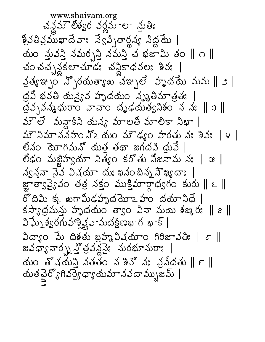www.shaivam.org చన్నవా్ లేశ్వర వర్ణమాలా న్లుతిః క్రైవతివ్రమఖాదేవా: స్వేవ్సితార్థన్య సిద్ధమే | యం స్తువస్తి నమర్చస్తి నమస్తి చ భజామి తం ∥ ౧ ∥ చం చచ్చన్లకలాచూడి చన్లికాధవల: శివ: | వ్రశ్వం స్పోరదుత్యాఖ చఞ్పలే హృదేమ మమ $\parallel$ ్) $\parallel$ ద్రవి భవతి యస్యైవ హృదయం నృష్ఠిమాత్రతః | ద్రవృవన్మధురాం వాచాం దృఢయత్వనిశం న నః  $\parallel$  ౩ $\parallel$ మెలే మన్దాకిని యన్య మాలతి మాలికా నిభా |  $35.3$ మాన నహం నొఒ యం మౌఢ్యం హరతు నః శివః $\parallel$ ౪ $\parallel$ లీనం దెవాగిమన్ యత్ర తథా జగదవి ధ్రువే | లిడం మజ్జిహ్వయా నిత్యం కరోతు నిజనామ న: || x ||  $\lambda_{S}$ నవా నైన విషయా దుః ఖనం భిన్న సౌఖ్య ( జ్ఞాతాςపైౕు వం తత్ర నక్తం ముక్తిమార్గాధ్వగం కురు ∥ ౬ ∥ రోదిమి క్క ఖగామీఢహృదమోఽహం దయానిధే |  $\frac{1}{3}$  ) (  $\frac{1}{3}$  ) (  $\frac{1}{3}$  ) (  $\frac{1}{3}$  ) (  $\frac{1}{3}$  ) (  $\frac{1}{3}$  ) (  $\frac{1}{3}$  ) (  $\frac{1}{3}$  ) (  $\frac{1}{3}$  ) (  $\frac{1}{3}$  ) (  $\frac{1}{3}$  ) (  $\frac{1}{3}$  ) (  $\frac{1}{3}$  ) (  $\frac{1}{3}$  ) (  $\frac{1}{3}$  ) (  $\frac{1}{3}$  ) విఘ్నేశ్వరగుహాక్ష్మి(వామదక్షిణభాగ భాక్ |  $2\sigma$  30  $\sigma$  30  $\sigma$  30  $\sigma$  30  $\sigma$  30  $\sigma$  30  $\sigma$  30  $\sigma$  30  $\sigma$  30  $\sigma$  30  $\sigma$  30  $\sigma$  30  $\sigma$ జవధ్యా నార్న హైత్రవన్డై మరభూమరాః |  $\Delta$ ుం త్వ $\Delta$ నుని నతతం న3న్ ని వనీదతు $\parallel$   $\epsilon$   $\parallel$ యతచైర్యోగివర్యైధ్యాయమానవదామ్బజమ్ |